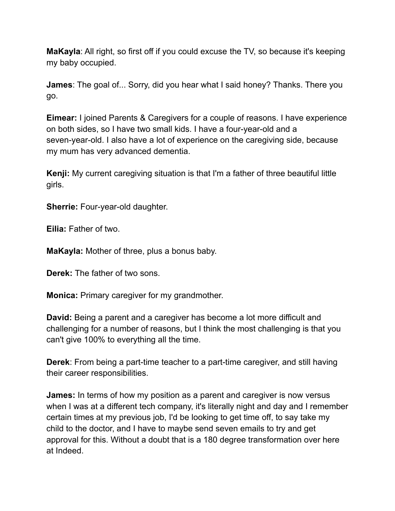**MaKayla**: All right, so first off if you could excuse the TV, so because it's keeping my baby occupied.

**James**: The goal of... Sorry, did you hear what I said honey? Thanks. There you go.

**Eimear:** I joined Parents & Caregivers for a couple of reasons. I have experience on both sides, so I have two small kids. I have a four-year-old and a seven-year-old. I also have a lot of experience on the caregiving side, because my mum has very advanced dementia.

**Kenji:** My current caregiving situation is that I'm a father of three beautiful little girls.

**Sherrie:** Four-year-old daughter.

**Eilia:** Father of two.

**MaKayla:** Mother of three, plus a bonus baby.

**Derek:** The father of two sons.

**Monica:** Primary caregiver for my grandmother.

**David:** Being a parent and a caregiver has become a lot more difficult and challenging for a number of reasons, but I think the most challenging is that you can't give 100% to everything all the time.

**Derek**: From being a part-time teacher to a part-time caregiver, and still having their career responsibilities.

**James:** In terms of how my position as a parent and caregiver is now versus when I was at a different tech company, it's literally night and day and I remember certain times at my previous job, I'd be looking to get time off, to say take my child to the doctor, and I have to maybe send seven emails to try and get approval for this. Without a doubt that is a 180 degree transformation over here at Indeed.